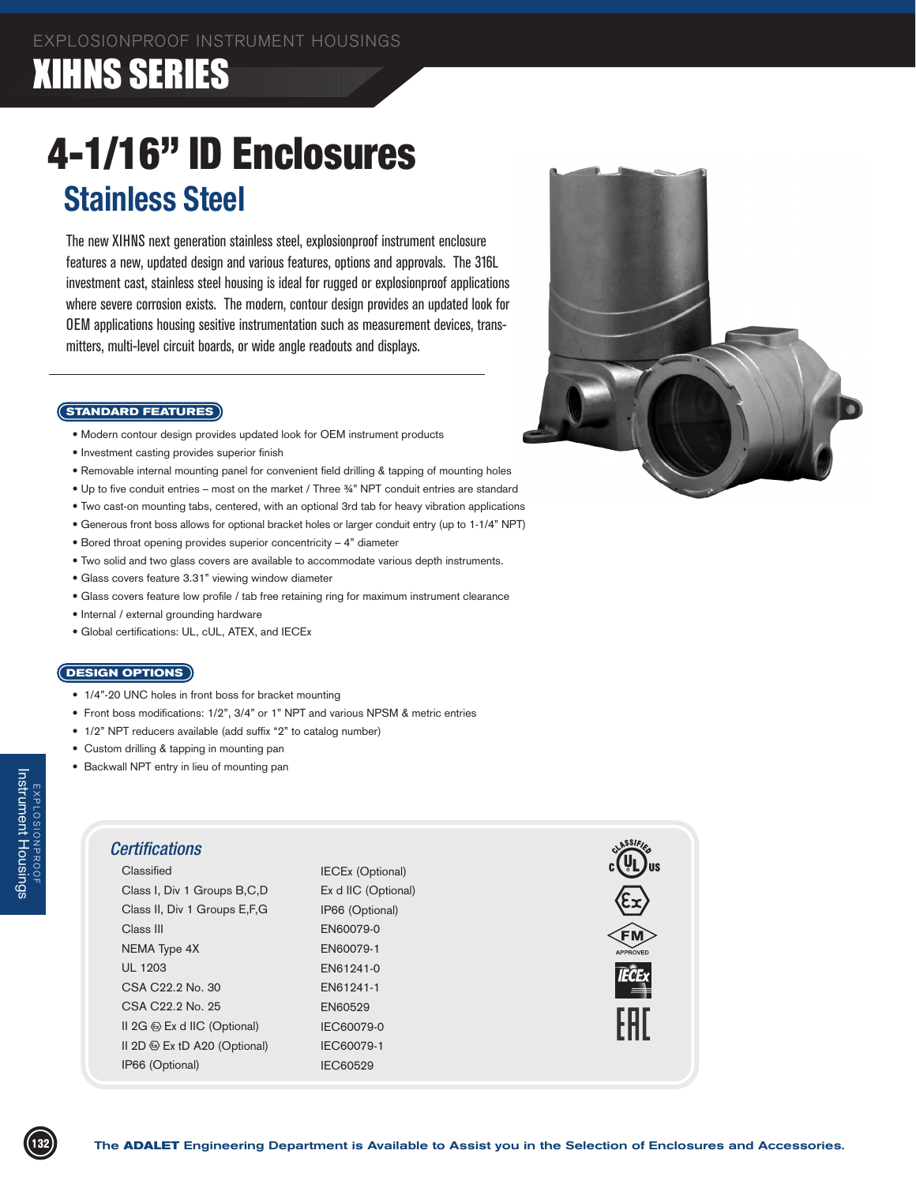### XIHNS SERIES

# 4-1/16" ID Enclosures **Stainless Steel**

The new XIHNS next generation stainless steel, explosionproof instrument enclosure features a new, updated design and various features, options and approvals. The 316L investment cast, stainless steel housing is ideal for rugged or explosionproof applications where severe corrosion exists. The modern, contour design provides an updated look for OEM applications housing sesitive instrumentation such as measurement devices, transmitters, multi-level circuit boards, or wide angle readouts and displays.

#### **STANDARD FEATURES**

- Modern contour design provides updated look for OEM instrument products
- Investment casting provides superior finish
- Removable internal mounting panel for convenient field drilling & tapping of mounting holes
- Up to five conduit entries most on the market / Three ¾" NPT conduit entries are standard
- Two cast-on mounting tabs, centered, with an optional 3rd tab for heavy vibration applications
- Generous front boss allows for optional bracket holes or larger conduit entry (up to 1-1/4" NPT)
- Bored throat opening provides superior concentricity 4" diameter
- Two solid and two glass covers are available to accommodate various depth instruments.
- Glass covers feature 3.31" viewing window diameter
- Glass covers feature low profile / tab free retaining ring for maximum instrument clearance
- Internal / external grounding hardware
- Global certifications: UL, cUL, ATEX, and IECEx

#### **DESIGN OPTIONS**

- 1/4"-20 UNC holes in front boss for bracket mounting
- Front boss modifications: 1/2", 3/4" or 1" NPT and various NPSM & metric entries
- 1/2" NPT reducers available (add suffix "2" to catalog number)
- Custom drilling & tapping in mounting pan
- Backwall NPT entry in lieu of mounting pan

### *Certifications*